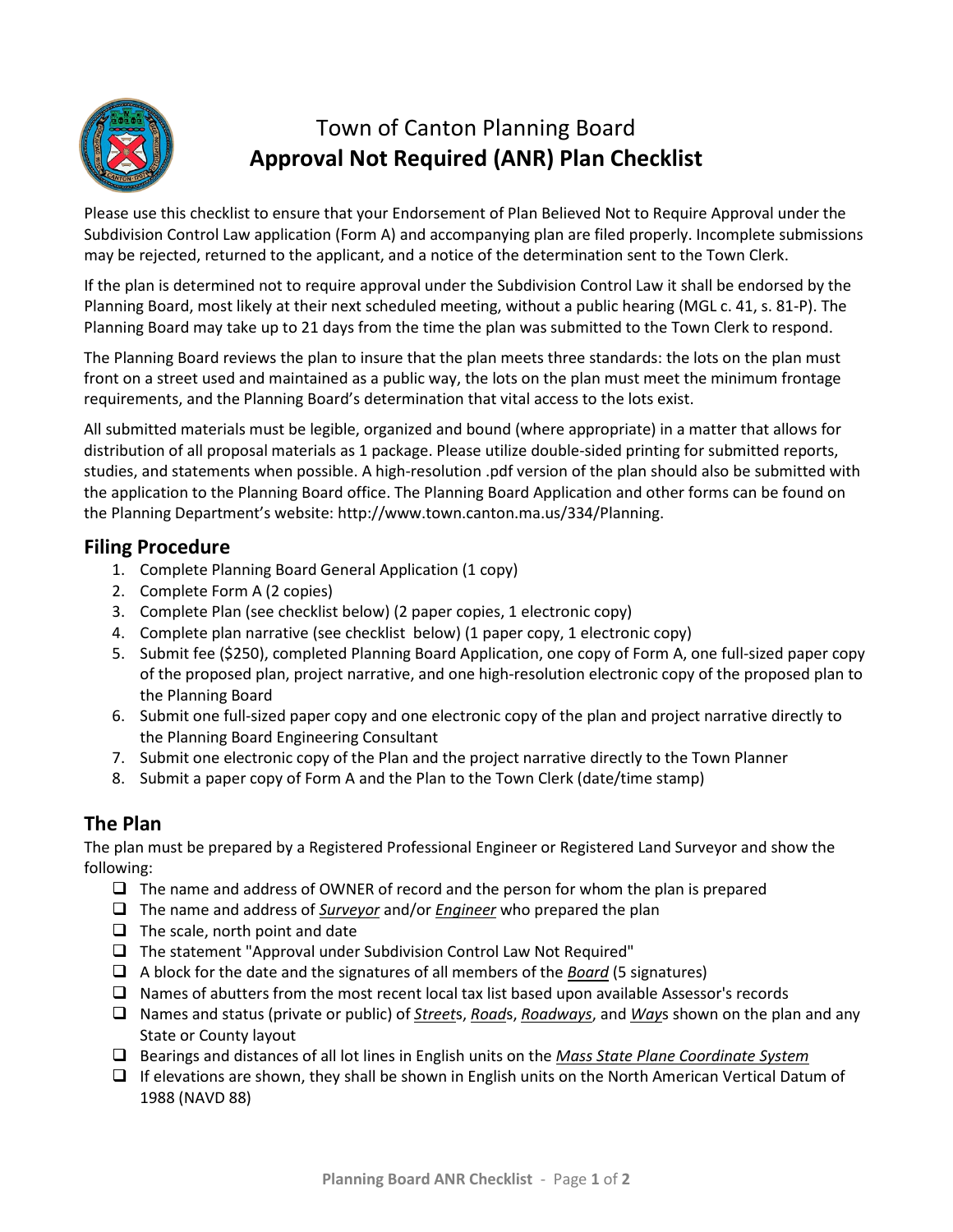

# Town of Canton Planning Board **Approval Not Required (ANR) Plan Checklist**

Please use this checklist to ensure that your Endorsement of Plan Believed Not to Require Approval under the Subdivision Control Law application (Form A) and accompanying plan are filed properly. Incomplete submissions may be rejected, returned to the applicant, and a notice of the determination sent to the Town Clerk.

If the plan is determined not to require approval under the Subdivision Control Law it shall be endorsed by the Planning Board, most likely at their next scheduled meeting, without a public hearing (MGL c. 41, s. 81-P). The Planning Board may take up to 21 days from the time the plan was submitted to the Town Clerk to respond.

The Planning Board reviews the plan to insure that the plan meets three standards: the lots on the plan must front on a street used and maintained as a public way, the lots on the plan must meet the minimum frontage requirements, and the Planning Board's determination that vital access to the lots exist.

All submitted materials must be legible, organized and bound (where appropriate) in a matter that allows for distribution of all proposal materials as 1 package. Please utilize double-sided printing for submitted reports, studies, and statements when possible. A high-resolution .pdf version of the plan should also be submitted with the application to the Planning Board office. The Planning Board Application and other forms can be found on the Planning Department's website: http://www.town.canton.ma.us/334/Planning.

# **Filing Procedure**

- 1. Complete Planning Board General Application (1 copy)
- 2. Complete Form A (2 copies)
- 3. Complete Plan (see checklist below) (2 paper copies, 1 electronic copy)
- 4. Complete plan narrative (see checklist below) (1 paper copy, 1 electronic copy)
- 5. Submit fee (\$250), completed Planning Board Application, one copy of Form A, one full-sized paper copy of the proposed plan, project narrative, and one high-resolution electronic copy of the proposed plan to the Planning Board
- 6. Submit one full-sized paper copy and one electronic copy of the plan and project narrative directly to the Planning Board Engineering Consultant
- 7. Submit one electronic copy of the Plan and the project narrative directly to the Town Planner
- 8. Submit a paper copy of Form A and the Plan to the Town Clerk (date/time stamp)

# **The Plan**

The plan must be prepared by a Registered Professional Engineer or Registered Land Surveyor and show the following:

- $\Box$  The name and address of OWNER of record and the person for whom the plan is prepared
- The name and address of *Surveyor* and/or *Engineer* who prepared the plan
- $\Box$  The scale, north point and date
- $\Box$  The statement "Approval under Subdivision Control Law Not Required"
- A block for the date and the signatures of all members of the *Board* (5 signatures)
- $\Box$  Names of abutters from the most recent local tax list based upon available Assessor's records
- Names and status (private or public) of *Street*s, *Road*s, *Roadways*, and *Way*s shown on the plan and any State or County layout
- Bearings and distances of all lot lines in English units on the *Mass State Plane Coordinate System*
- $\Box$  If elevations are shown, they shall be shown in English units on the North American Vertical Datum of 1988 (NAVD 88)